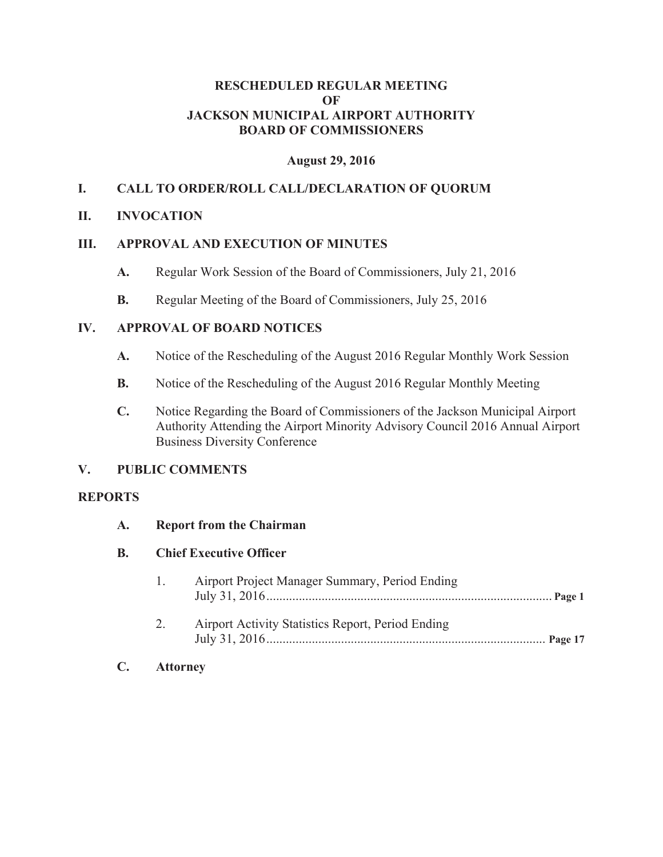#### **RESCHEDULED REGULAR MEETING OF JACKSON MUNICIPAL AIRPORT AUTHORITY BOARD OF COMMISSIONERS**

## **August 29, 2016**

## **I. CALL TO ORDER/ROLL CALL/DECLARATION OF QUORUM**

## **II. INVOCATION**

## **III. APPROVAL AND EXECUTION OF MINUTES**

- **A.** Regular Work Session of the Board of Commissioners, July 21, 2016
- **B.** Regular Meeting of the Board of Commissioners, July 25, 2016

## **IV. APPROVAL OF BOARD NOTICES**

- **A.** Notice of the Rescheduling of the August 2016 Regular Monthly Work Session
- **B.** Notice of the Rescheduling of the August 2016 Regular Monthly Meeting
- **C.** Notice Regarding the Board of Commissioners of the Jackson Municipal Airport Authority Attending the Airport Minority Advisory Council 2016 Annual Airport Business Diversity Conference

## **V. PUBLIC COMMENTS**

#### **REPORTS**

| $\mathbf{A}$ . | <b>Report from the Chairman</b><br><b>Chief Executive Officer</b> |                                                   |  |
|----------------|-------------------------------------------------------------------|---------------------------------------------------|--|
| В.             |                                                                   |                                                   |  |
|                | 1.                                                                | Airport Project Manager Summary, Period Ending    |  |
|                | 2.                                                                | Airport Activity Statistics Report, Period Ending |  |

**C. Attorney**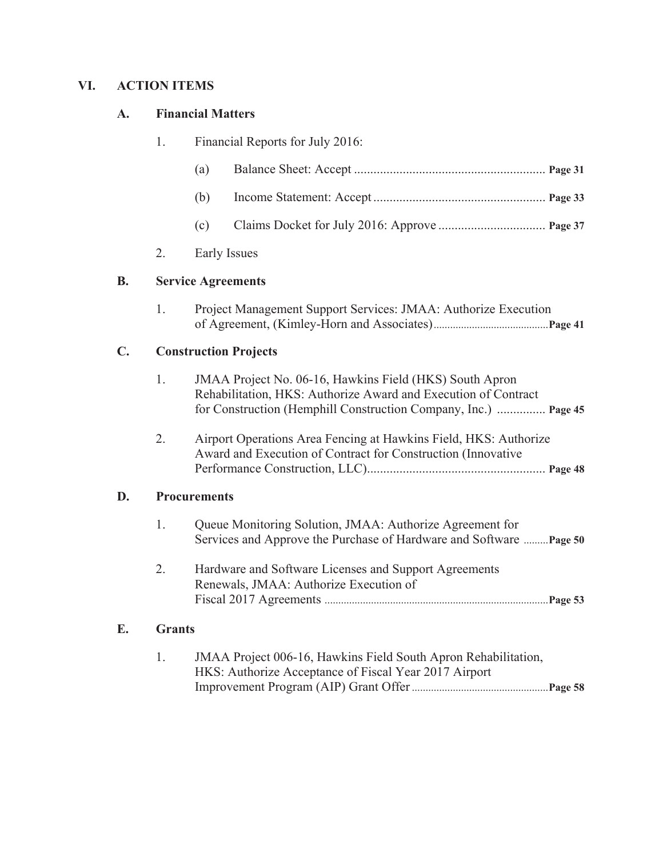# **VI. ACTION ITEMS**

**D.** 

**E. Grants**

## **A. Financial Matters**

|    | 1.                  | Financial Reports for July 2016: |                                                                                                                                                                                              |  |  |
|----|---------------------|----------------------------------|----------------------------------------------------------------------------------------------------------------------------------------------------------------------------------------------|--|--|
|    |                     | (a)                              |                                                                                                                                                                                              |  |  |
|    |                     | (b)                              |                                                                                                                                                                                              |  |  |
|    |                     | (c)                              |                                                                                                                                                                                              |  |  |
|    | 2.                  | <b>Early Issues</b>              |                                                                                                                                                                                              |  |  |
| В. |                     |                                  | <b>Service Agreements</b>                                                                                                                                                                    |  |  |
|    | 1.                  |                                  | Project Management Support Services: JMAA: Authorize Execution                                                                                                                               |  |  |
| C. |                     | <b>Construction Projects</b>     |                                                                                                                                                                                              |  |  |
|    | 1.                  |                                  | JMAA Project No. 06-16, Hawkins Field (HKS) South Apron<br>Rehabilitation, HKS: Authorize Award and Execution of Contract<br>for Construction (Hemphill Construction Company, Inc.)  Page 45 |  |  |
|    | 2.                  |                                  | Airport Operations Area Fencing at Hawkins Field, HKS: Authorize<br>Award and Execution of Contract for Construction (Innovative                                                             |  |  |
| D. | <b>Procurements</b> |                                  |                                                                                                                                                                                              |  |  |
|    | 1.                  |                                  | Queue Monitoring Solution, JMAA: Authorize Agreement for<br>Services and Approve the Purchase of Hardware and Software  Page 50                                                              |  |  |
|    | 2.                  |                                  | Hardware and Software Licenses and Support Agreements<br>Renewals, JMAA: Authorize Execution of                                                                                              |  |  |
| E. | <b>Grants</b>       |                                  |                                                                                                                                                                                              |  |  |

1. JMAA Project 006-16, Hawkins Field South Apron Rehabilitation, HKS: Authorize Acceptance of Fiscal Year 2017 Airport Improvement Program (AIP) Grant Offer .................................................. **Page 58**